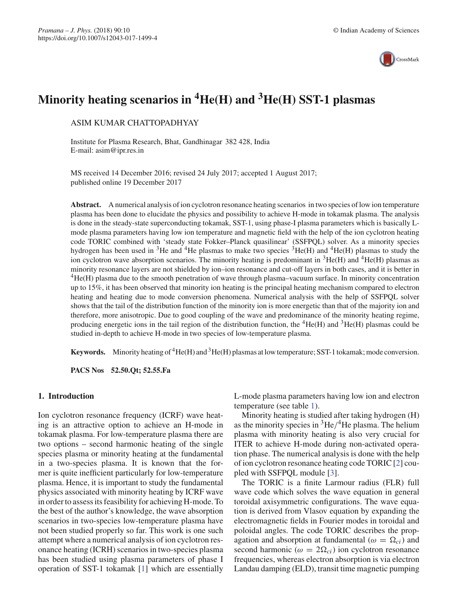

# **Minority heating scenarios in 4He(H) and 3He(H) SST-1 plasmas**

ASIM KUMAR CHATTOPADHYAY

Institute for Plasma Research, Bhat, Gandhinagar 382 428, India E-mail: asim@ipr.res.in

MS received 14 December 2016; revised 24 July 2017; accepted 1 August 2017; published online 19 December 2017

**Abstract.** A numerical analysis of ion cyclotron resonance heating scenarios in two species of low ion temperature plasma has been done to elucidate the physics and possibility to achieve H-mode in tokamak plasma. The analysis is done in the steady-state superconducting tokamak, SST-1, using phase-I plasma parameters which is basically Lmode plasma parameters having low ion temperature and magnetic field with the help of the ion cyclotron heating code TORIC combined with 'steady state Fokker–Planck quasilinear' (SSFPQL) solver. As a minority species hydrogen has been used in <sup>3</sup>He and <sup>4</sup>He plasmas to make two species  ${}^{3}He(H)$  and  ${}^{4}He(H)$  plasmas to study the ion cyclotron wave absorption scenarios. The minority heating is predominant in  ${}^{3}$ He(H) and  ${}^{4}$ He(H) plasmas as minority resonance layers are not shielded by ion–ion resonance and cut-off layers in both cases, and it is better in 4He(H) plasma due to the smooth penetration of wave through plasma–vacuum surface. In minority concentration up to 15%, it has been observed that minority ion heating is the principal heating mechanism compared to electron heating and heating due to mode conversion phenomena. Numerical analysis with the help of SSFPQL solver shows that the tail of the distribution function of the minority ion is more energetic than that of the majority ion and therefore, more anisotropic. Due to good coupling of the wave and predominance of the minority heating regime, producing energetic ions in the tail region of the distribution function, the  ${}^{4}He(H)$  and  ${}^{3}He(H)$  plasmas could be studied in-depth to achieve H-mode in two species of low-temperature plasma.

**Keywords.** Minority heating of  ${}^{4}$ He(H) and  ${}^{3}$ He(H) plasmas at low temperature; SST-1 tokamak; mode conversion.

**PACS Nos 52.50.Qt; 52.55.Fa**

# **1. Introduction**

Ion cyclotron resonance frequency (ICRF) wave heating is an attractive option to achieve an H-mode in tokamak plasma. For low-temperature plasma there are two options – second harmonic heating of the single species plasma or minority heating at the fundamental in a two-species plasma. It is known that the former is quite inefficient particularly for low-temperature plasma. Hence, it is important to study the fundamental physics associated with minority heating by ICRF wave in order to assess its feasibility for achieving H-mode. To the best of the author's knowledge, the wave absorption scenarios in two-species low-temperature plasma have not been studied properly so far. This work is one such attempt where a numerical analysis of ion cyclotron resonance heating (ICRH) scenarios in two-species plasma has been studied using plasma parameters of phase I operation of SST-1 tokamak [1] which are essentially L-mode plasma parameters having low ion and electron temperature (see table 1).

Minority heating is studied after taking hydrogen (H) as the minority species in  ${}^{3}$ He/<sup>4</sup>He plasma. The helium plasma with minority heating is also very crucial for ITER to achieve H-mode during non-activated operation phase. The numerical analysis is done with the help of ion cyclotron resonance heating code TORIC [2] coupled with SSFPQL module [3].

The TORIC is a finite Larmour radius (FLR) full wave code which solves the wave equation in general toroidal axisymmetric configurations. The wave equation is derived from Vlasov equation by expanding the electromagnetic fields in Fourier modes in toroidal and poloidal angles. The code TORIC describes the propagation and absorption at fundamental ( $\omega = \Omega_{ci}$ ) and second harmonic ( $\omega = 2\Omega_{ci}$ ) ion cyclotron resonance frequencies, whereas electron absorption is via electron Landau damping (ELD), transit time magnetic pumping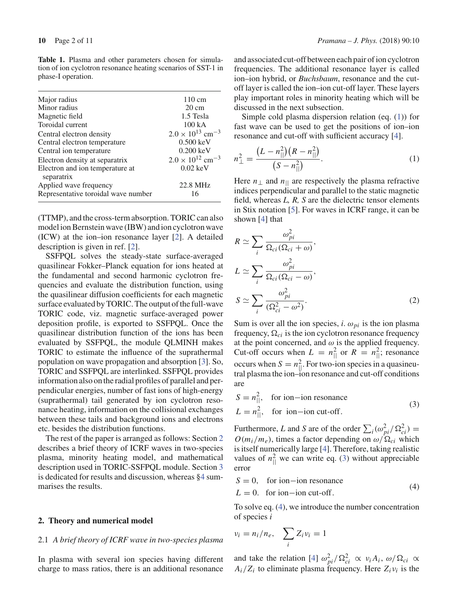| Major radius                                  | $110 \text{ cm}$                      |
|-----------------------------------------------|---------------------------------------|
| Minor radius                                  | $20 \text{ cm}$                       |
| Magnetic field                                | 1.5 Tesla                             |
| Toroidal current                              | $100\text{ kA}$                       |
| Central electron density                      | $2.0 \times 10^{13}$ cm <sup>-3</sup> |
| Central electron temperature                  | $0.500 \text{ keV}$                   |
| Central ion temperature                       | $0.200 \text{ keV}$                   |
| Electron density at separatrix                | $2.0 \times 10^{12}$ cm <sup>-3</sup> |
| Electron and ion temperature at<br>separatrix | $0.02 \text{ keV}$                    |
| Applied wave frequency                        | 22.8 MHz                              |

**Table 1.** Plasma and other parameters chosen for simulation of ion cyclotron resonance heating scenarios of SST-1 in phase-I operation.

(TTMP), and the cross-term absorption. TORIC can also model ion Bernstein wave (IBW) and ion cyclotron wave (ICW) at the ion–ion resonance layer [2]. A detailed description is given in ref. [2].

Representative toroidal wave number 16

SSFPQL solves the steady-state surface-averaged quasilinear Fokker–Planck equation for ions heated at the fundamental and second harmonic cyclotron frequencies and evaluate the distribution function, using the quasilinear diffusion coefficients for each magnetic surface evaluated by TORIC. The output of the full-wave TORIC code, viz. magnetic surface-averaged power deposition profile, is exported to SSFPQL. Once the quasilinear distribution function of the ions has been evaluated by SSFPQL, the module QLMINH makes TORIC to estimate the influence of the suprathermal population on wave propagation and absorption [3]. So, TORIC and SSFPQL are interlinked. SSFPQL provides information also on the radial profiles of parallel and perpendicular energies, number of fast ions of high-energy (suprathermal) tail generated by ion cyclotron resonance heating, information on the collisional exchanges between these tails and background ions and electrons etc. besides the distribution functions.

The rest of the paper is arranged as follows: Section 2 describes a brief theory of ICRF waves in two-species plasma, minority heating model, and mathematical description used in TORIC-SSFPQL module. Section 3 is dedicated for results and discussion, whereas §4 summarises the results.

## **2. Theory and numerical model**

## 2.1 *A brief theory of ICRF wave in two-species plasma*

In plasma with several ion species having different charge to mass ratios, there is an additional resonance and associated cut-off between each pair of ion cyclotron frequencies. The additional resonance layer is called ion–ion hybrid, or *Buchsbaum*, resonance and the cutoff layer is called the ion–ion cut-off layer. These layers play important roles in minority heating which will be discussed in the next subsection.

Simple cold plasma dispersion relation (eq. (1)) for fast wave can be used to get the positions of ion–ion resonance and cut-off with sufficient accuracy [4].

$$
n_{\perp}^{2} = \frac{(L - n_{||}^{2})(R - n_{||}^{2})}{(S - n_{||}^{2})}.
$$
\n(1)

Here  $n_{\perp}$  and  $n_{\parallel}$  are respectively the plasma refractive indices perpendicular and parallel to the static magnetic field, whereas *L, R, S* are the dielectric tensor elements in Stix notation [5]. For waves in ICRF range, it can be shown [4] that

$$
R \simeq \sum_{i} \frac{\omega_{pi}^{2}}{\Omega_{ci}(\Omega_{ci} + \omega)},
$$
  
\n
$$
L \simeq \sum_{i} \frac{\omega_{pi}^{2}}{\Omega_{ci}(\Omega_{ci} - \omega)},
$$
  
\n
$$
S \simeq \sum_{i} \frac{\omega_{pi}^{2}}{(\Omega_{ci}^{2} - \omega^{2})}.
$$
\n(2)

Sum is over all the ion species, *i*.  $\omega_{pi}$  is the ion plasma frequency,  $\Omega_{ci}$  is the ion cyclotron resonance frequency at the point concerned, and  $\omega$  is the applied frequency. Cut-off occurs when  $L = n_{\parallel}^2$  or  $R = n_{\parallel}^2$ ; resonance occurs when  $S = n_{\parallel}^2$ . For two-ion species in a quasineutral plasma the ion–ion resonance and cut-off conditions are

$$
S = n_{||}^{2}, \text{ for ion-ion resonance}
$$
  
\n
$$
L = n_{||}^{2}, \text{ for ion-ion cut-off.}
$$
 (3)

Furthermore, *L* and *S* are of the order  $\sum_i (\omega_{pi}^2 / \Omega_{ci}^2)$  =  $O(m_i/m_e)$ , times a factor depending on  $\omega/\Omega_{ci}$  which is itself numerically large [4]. Therefore, taking realistic values of  $n_{\parallel}^2$  we can write eq. (3) without appreciable error

$$
S = 0, \quad \text{for ion-ion resonance} \tag{4}
$$
  
 
$$
L = 0. \quad \text{for ion-ion cut-off.} \tag{4}
$$

To solve eq. (4), we introduce the number concentration of species *i*

$$
v_i = n_i/n_e, \quad \sum_i Z_i v_i = 1
$$

and take the relation [4]  $\omega_{pi}^2 / \Omega_{ci}^2 \propto v_i A_i$ ,  $\omega / \Omega_{ci} \propto$  $A_i/Z_i$  to eliminate plasma frequency. Here  $Z_i v_i$  is the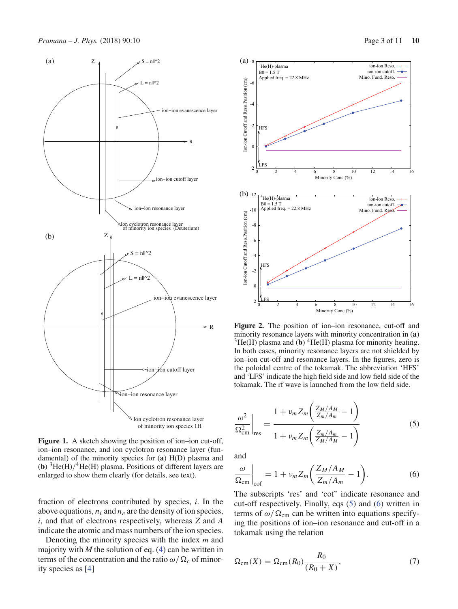

Figure 1. A sketch showing the position of ion–ion cut-off, ion–ion resonance, and ion cyclotron resonance layer (fundamental) of the minority species for (**a**) H(D) plasma and (**b**)  ${}^{3}$ He(H)/ ${}^{4}$ He(H) plasma. Positions of different layers are enlarged to show them clearly (for details, see text).

fraction of electrons contributed by species, *i*. In the above equations,  $n_i$  and  $n_e$  are the density of ion species, *i*, and that of electrons respectively, whereas *Z* and *A* indicate the atomic and mass numbers of the ion species.

Denoting the minority species with the index *m* and majority with  $M$  the solution of eq.  $(4)$  can be written in terms of the concentration and the ratio  $\omega/\Omega_c$  of minority species as [4]



**Figure 2.** The position of ion–ion resonance, cut-off and minority resonance layers with minority concentration in (**a**)  $3$ He(H) plasma and (b)  $4$ He(H) plasma for minority heating. In both cases, minority resonance layers are not shielded by ion–ion cut-off and resonance layers. In the figures, zero is the poloidal centre of the tokamak. The abbreviation 'HFS' and 'LFS' indicate the high field side and low field side of the tokamak. The rf wave is launched from the low field side.

$$
\frac{\omega^2}{\Omega_{\rm cm}^2}\bigg|_{\rm res} = \frac{1 + \nu_m Z_m \bigg(\frac{Z_M/A_M}{Z_m/A_m} - 1\bigg)}{1 + \nu_m Z_m \bigg(\frac{Z_m/A_m}{Z_M/A_M} - 1\bigg)}
$$
(5)

and

$$
\left. \frac{\omega}{\Omega_{\rm cm}} \right|_{\rm cof} = 1 + \nu_m Z_m \bigg( \frac{Z_M / A_M}{Z_m / A_m} - 1 \bigg). \tag{6}
$$

The subscripts 'res' and 'cof' indicate resonance and cut-off respectively. Finally, eqs (5) and (6) written in terms of  $\omega/\Omega_{\rm cm}$  can be written into equations specifying the positions of ion–ion resonance and cut-off in a tokamak using the relation

$$
\Omega_{\text{cm}}(X) = \Omega_{\text{cm}}(R_0) \frac{R_0}{(R_0 + X)},\tag{7}
$$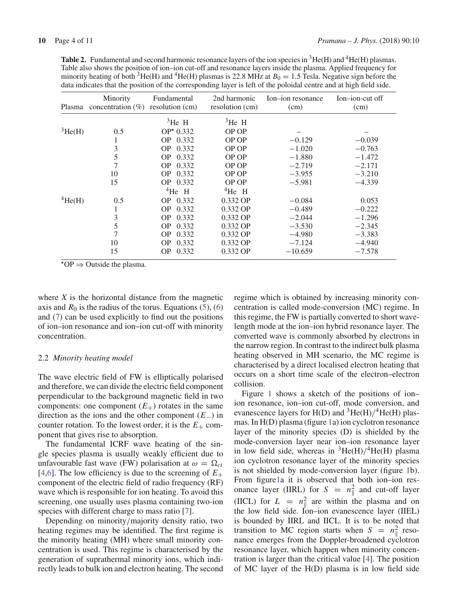Table 2. Fundamental and second harmonic resonance layers of the ion species in <sup>3</sup>He(H) and <sup>4</sup>He(H) plasmas. Table also shows the position of ion–ion cut-off and resonance layers inside the plasma. Applied frequency for minority heating of both <sup>3</sup>He(H) and <sup>4</sup>He(H) plasmas is 22.8 MHz at  $B_0 = 1.5$  Tesla. Negative sign before the data indicates that the position of the corresponding layer is left of the poloidal centre and at high field side.

| Plasma          | Minority<br>concentration $(\% )$ | Fundamental<br>resolution (cm) | 2nd harmonic<br>resolution (cm) | Ion-ion resonance<br>(cm) | Ion-ion-cut off<br>(cm) |
|-----------------|-----------------------------------|--------------------------------|---------------------------------|---------------------------|-------------------------|
|                 |                                   | ${}^{3}$ He H                  | $3He$ H                         |                           |                         |
| ${}^{3}$ He(H)  | 0.5                               | $OP* 0.332$                    | OP OP                           |                           |                         |
|                 | 1                                 | 0.332<br>OP.                   | OP OP                           | $-0.129$                  | $-0.039$                |
|                 | 3                                 | 0.332<br>OP.                   | OP OP                           | $-1.020$                  | $-0.763$                |
|                 | 5                                 | 0.332<br>OP.                   | OP OP                           | $-1.880$                  | $-1.472$                |
|                 | 7                                 | 0.332<br>OP.                   | OP OP                           | $-2.719$                  | $-2.171$                |
|                 | 10                                | 0.332<br>OP.                   | OP OP                           | $-3.955$                  | $-3.210$                |
|                 | 15                                | OP 0.332                       | OP OP                           | $-5.981$                  | $-4.339$                |
|                 |                                   | $4$ He H                       | $4He$ H                         |                           |                         |
| $4\text{He(H)}$ | 0.5                               | OP 0.332                       | $0.332$ OP                      | $-0.084$                  | 0.053                   |
|                 | 1                                 | 0.332<br>OP.                   | 0.332 OP                        | $-0.489$                  | $-0.222$                |
|                 | 3                                 | 0.332<br>OP.                   | 0.332 OP                        | $-2.044$                  | $-1.296$                |
|                 | 5                                 | <b>OP</b><br>0.332             | 0.332 OP                        | $-3.530$                  | $-2.345$                |
|                 | $\overline{7}$                    | OP.<br>0.332                   | 0.332 OP                        | $-4.980$                  | $-3.383$                |
|                 | 10                                | 0.332<br>OP.                   | 0.332 OP                        | $-7.124$                  | $-4.940$                |
|                 | 15                                | 0.332<br>OP.                   | 0.332 OP                        | $-10.659$                 | $-7.578$                |

\*OP  $\Rightarrow$  Outside the plasma.

where *X* is the horizontal distance from the magnetic axis and  $R_0$  is the radius of the torus. Equations (5), (6) and (7) can be used explicitly to find out the positions of ion–ion resonance and ion–ion cut-off with minority concentration.

## 2.2 *Minority heating model*

The wave electric field of FW is elliptically polarised and therefore, we can divide the electric field component perpendicular to the background magnetic field in two components: one component  $(E_{+})$  rotates in the same direction as the ions and the other component (*E*−) in counter rotation. To the lowest order, it is the  $E_{+}$  component that gives rise to absorption.

The fundamental ICRF wave heating of the single species plasma is usually weakly efficient due to unfavourable fast wave (FW) polarisation at  $\omega = \Omega_{ci}$ [4,6]. The low efficiency is due to the screening of  $E_+$ component of the electric field of radio frequency (RF) wave which is responsible for ion heating. To avoid this screening, one usually uses plasma containing two-ion species with different charge to mass ratio [7].

Depending on minority/majority density ratio, two heating regimes may be identified. The first regime is the minority heating (MH) where small minority concentration is used. This regime is characterised by the generation of suprathermal minority ions, which indirectly leads to bulk ion and electron heating. The second regime which is obtained by increasing minority concentration is called mode-conversion (MC) regime. In this regime, the FW is partially converted to short wavelength mode at the ion–ion hybrid resonance layer. The converted wave is commonly absorbed by electrons in the narrow region. In contrast to the indirect bulk plasma heating observed in MH scenario, the MC regime is characterised by a direct localised electron heating that occurs on a short time scale of the electron–electron collision.

Figure 1 shows a sketch of the positions of ion– ion resonance, ion–ion cut-off, mode conversion, and evanescence layers for  $H(D)$  and  ${}^{3}He(H)/{}^{4}He(H)$  plasmas. In H(D) plasma (figure 1a) ion cyclotron resonance layer of the minority species (D) is shielded by the mode-conversion layer near ion–ion resonance layer in low field side, whereas in  ${}^{3}$ He(H)/ ${}^{4}$ He(H) plasma ion cyclotron resonance layer of the minority species is not shielded by mode-conversion layer (figure 1b). From figure1a it is observed that both ion–ion resonance layer (IIRL) for  $S = n_{\parallel}^2$  and cut-off layer (IICL) for  $L = n_{\text{max}}^2$  are within the plasma and on the low field side. Ion–ion evanescence layer (IIEL) is bounded by IIRL and IICL. It is to be noted that transition to MC region starts when  $S = n_1^2$  resonance emerges from the Doppler-broadened cyclotron resonance layer, which happen when minority concentration is larger than the critical value [4]. The position of MC layer of the H(D) plasma is in low field side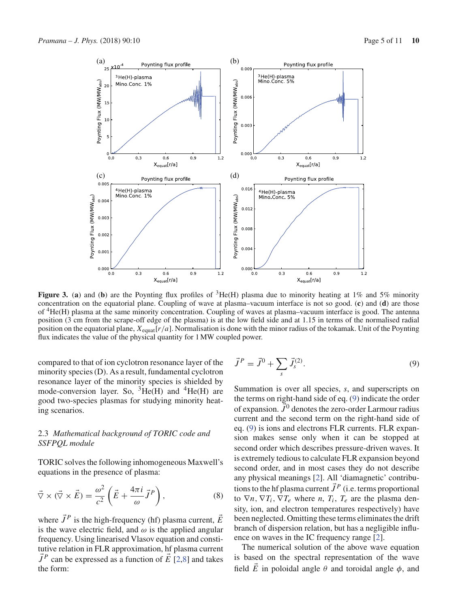

**Figure 3.** (a) and (b) are the Poynting flux profiles of <sup>3</sup>He(H) plasma due to minority heating at 1% and 5% minority concentration on the equatorial plane. Coupling of wave at plasma–vacuum interface is not so good. (**c**) and (**d**) are those of 4He(H) plasma at the same minority concentration. Coupling of waves at plasma–vacuum interface is good. The antenna position (3 cm from the scrape-off edge of the plasma) is at the low field side and at 1.15 in terms of the normalised radial position on the equatorial plane, *X*equat[*r*/*a*]. Normalisation is done with the minor radius of the tokamak. Unit of the Poynting flux indicates the value of the physical quantity for 1 MW coupled power.

compared to that of ion cyclotron resonance layer of the minority species (D). As a result, fundamental cyclotron resonance layer of the minority species is shielded by mode-conversion layer. So,  ${}^{3}He(H)$  and  ${}^{4}He(H)$  are good two-species plasmas for studying minority heating scenarios.

# 2.3 *Mathematical background of TORIC code and SSFPQL module*

TORIC solves the following inhomogeneous Maxwell's equations in the presence of plasma:

$$
\vec{\nabla} \times (\vec{\nabla} \times \vec{E}) = \frac{\omega^2}{c^2} \left( \vec{E} + \frac{4\pi i}{\omega} \vec{J}^P \right),\tag{8}
$$

where  $\vec{J}^P$  is the high-frequency (hf) plasma current,  $\vec{E}$ is the wave electric field, and  $\omega$  is the applied angular frequency. Using linearised Vlasov equation and constitutive relation in FLR approximation, hf plasma current  $\vec{J}^P$  can be expressed as a function of  $\vec{E}$  [2,8] and takes the form:

$$
\vec{J}^P = \vec{J}^0 + \sum_s \vec{J}_s^{(2)}.
$$
\n(9)

Summation is over all species, *s*, and superscripts on the terms on right-hand side of eq. (9) indicate the order of expansion.  $\vec{J}^0$  denotes the zero-order Larmour radius current and the second term on the right-hand side of eq. (9) is ions and electrons FLR currents. FLR expansion makes sense only when it can be stopped at second order which describes pressure-driven waves. It is extremely tedious to calculate FLR expansion beyond second order, and in most cases they do not describe any physical meanings [2]. All 'diamagnetic' contributions to the hf plasma current  $\vec{J}^P$  (i.e. terms proportional to  $\nabla n$ ,  $\nabla T_i$ ,  $\nabla T_e$  where *n*,  $T_i$ ,  $T_e$  are the plasma density, ion, and electron temperatures respectively) have been neglected. Omitting these terms eliminates the drift branch of dispersion relation, but has a negligible influence on waves in the IC frequency range [2].

The numerical solution of the above wave equation is based on the spectral representation of the wave field  $\vec{E}$  in poloidal angle  $\theta$  and toroidal angle  $\phi$ , and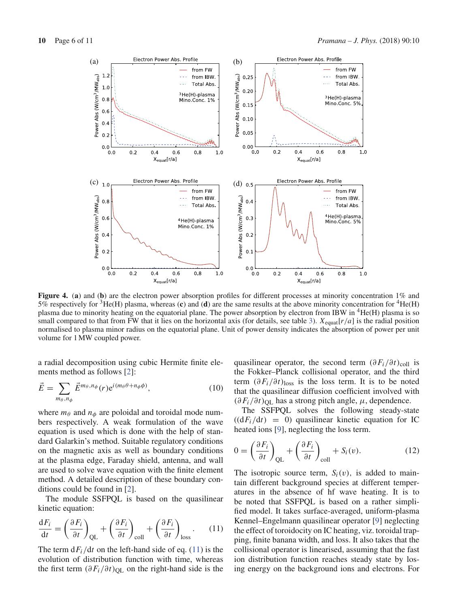

**Figure 4.** (a) and (b) are the electron power absorption profiles for different processes at minority concentration 1% and 5% respectively for <sup>3</sup>He(H) plasma, whereas (c) and (d) are the same results at the above minority concentration for <sup>4</sup>He(H) plasma due to minority heating on the equatorial plane. The power absorption by electron from IBW in  ${}^{4}He(H)$  plasma is so small compared to that from FW that it lies on the horizontal axis (for details, see table 3).  $X_{\text{equal}}(r/a)$  is the radial position normalised to plasma minor radius on the equatorial plane. Unit of power density indicates the absorption of power per unit volume for 1 MW coupled power.

a radial decomposition using cubic Hermite finite elements method as follows [2]:

$$
\vec{E} = \sum_{m_{\theta}, n_{\phi}} \vec{E}^{m_{\theta}, n_{\phi}}(r) e^{i(m_{\theta}\theta + n_{\phi}\phi)}, \qquad (10)
$$

where  $m_{\theta}$  and  $n_{\phi}$  are poloidal and toroidal mode numbers respectively. A weak formulation of the wave equation is used which is done with the help of standard Galarkin's method. Suitable regulatory conditions on the magnetic axis as well as boundary conditions at the plasma edge, Faraday shield, antenna, and wall are used to solve wave equation with the finite element method. A detailed description of these boundary conditions could be found in [2].

The module SSFPQL is based on the quasilinear kinetic equation:

$$
\frac{\mathrm{d}F_i}{\mathrm{d}t} = \left(\frac{\partial F_i}{\partial t}\right)_{\mathrm{QL}} + \left(\frac{\partial F_i}{\partial t}\right)_{\mathrm{coll}} + \left(\frac{\partial F_i}{\partial t}\right)_{\mathrm{loss}}.\tag{11}
$$

The term  $dF_i/dt$  on the left-hand side of eq. (11) is the evolution of distribution function with time, whereas the first term  $(\partial F_i / \partial t)_{\text{QL}}$  on the right-hand side is the

quasilinear operator, the second term  $(\partial F_i / \partial t)_{\text{coll}}$  is the Fokker–Planck collisional operator, and the third term  $(\partial F_i / \partial t)_{loss}$  is the loss term. It is to be noted that the quasilinear diffusion coefficient involved with  $(\partial F_i/\partial t)_{\text{OL}}$  has a strong pitch angle,  $\mu$ , dependence.

The SSFPQL solves the following steady-state  $((dF_i/dt) = 0)$  quasilinear kinetic equation for IC heated ions [9], neglecting the loss term.

$$
0 = \left(\frac{\partial F_i}{\partial t}\right)_{\text{QL}} + \left(\frac{\partial F_i}{\partial t}\right)_{\text{coll}} + S_i(v). \tag{12}
$$

The isotropic source term,  $S_i(v)$ , is added to maintain different background species at different temperatures in the absence of hf wave heating. It is to be noted that SSFPQL is based on a rather simplified model. It takes surface-averaged, uniform-plasma Kennel–Engelmann quasilinear operator [9] neglecting the effect of toroidocity on IC heating, viz. toroidal trapping, finite banana width, and loss. It also takes that the collisional operator is linearised, assuming that the fast ion distribution function reaches steady state by losing energy on the background ions and electrons. For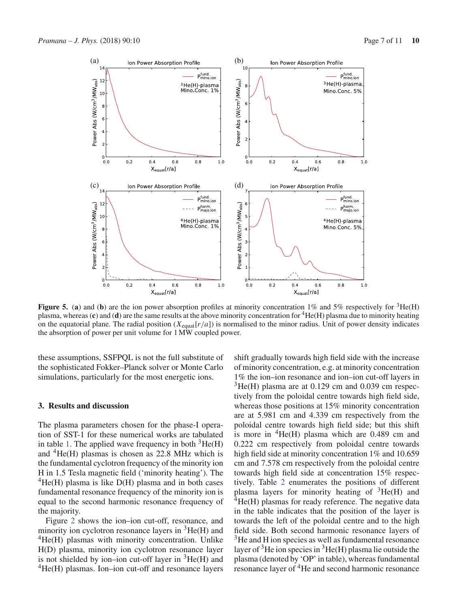

**Figure 5.** (a) and (b) are the ion power absorption profiles at minority concentration  $1\%$  and  $5\%$  respectively for  ${}^{3}$ He(H) plasma, whereas  $(c)$  and  $(d)$  are the same results at the above minority concentration for  ${}^{4}He(H)$  plasma due to minority heating on the equatorial plane. The radial position  $(X_{\text{equal}}[r/a])$  is normalised to the minor radius. Unit of power density indicates the absorption of power per unit volume for 1 MW coupled power.

these assumptions, SSFPQL is not the full substitute of the sophisticated Fokker–Planck solver or Monte Carlo simulations, particularly for the most energetic ions.

## **3. Results and discussion**

The plasma parameters chosen for the phase-I operation of SST-1 for these numerical works are tabulated in table 1. The applied wave frequency in both  ${}^{3}$ He(H) and  ${}^{4}$ He(H) plasmas is chosen as 22.8 MHz which is the fundamental cyclotron frequency of the minority ion H in 1.5 Tesla magnetic field ('minority heating'). The  ${}^{4}$ He(H) plasma is like D(H) plasma and in both cases fundamental resonance frequency of the minority ion is equal to the second harmonic resonance frequency of the majority.

Figure 2 shows the ion–ion cut-off, resonance, and minority ion cyclotron resonance layers in  ${}^{3}$ He(H) and  ${}^{4}$ He(H) plasmas with minority concentration. Unlike H(D) plasma, minority ion cyclotron resonance layer is not shielded by ion–ion cut-off layer in  ${}^{3}He(H)$  and  $^{4}$ He(H) plasmas. Ion–ion cut-off and resonance layers shift gradually towards high field side with the increase of minority concentration, e.g. at minority concentration 1% the ion–ion resonance and ion–ion cut-off layers in  $3\text{He(H)}$  plasma are at 0.129 cm and 0.039 cm respectively from the poloidal centre towards high field side, whereas those positions at 15% minority concentration are at 5.981 cm and 4.339 cm respectively from the poloidal centre towards high field side; but this shift is more in  ${}^{4}$ He(H) plasma which are 0.489 cm and 0.222 cm respectively from poloidal centre towards high field side at minority concentration 1% and 10.659 cm and 7.578 cm respectively from the poloidal centre towards high field side at concentration 15% respectively. Table 2 enumerates the positions of different plasma layers for minority heating of  ${}^{3}He(H)$  and  ${}^{4}$ He(H) plasmas for ready reference. The negative data in the table indicates that the position of the layer is towards the left of the poloidal centre and to the high field side. Both second harmonic resonance layers of <sup>3</sup>He and H ion species as well as fundamental resonance layer of  $3$ He ion species in  $3$ He(H) plasma lie outside the plasma (denoted by 'OP' in table), whereas fundamental resonance layer of <sup>4</sup>He and second harmonic resonance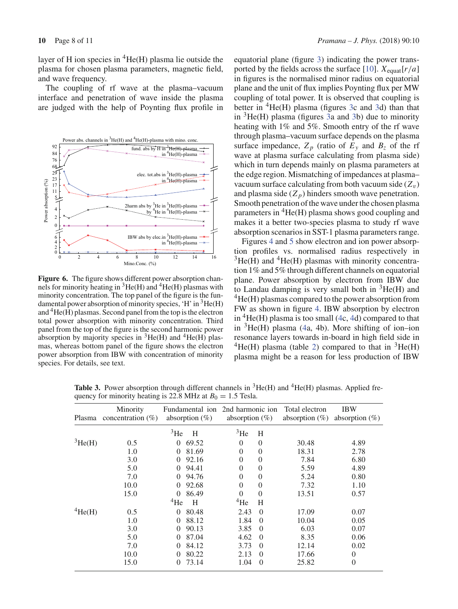layer of H ion species in  ${}^{4}$ He(H) plasma lie outside the plasma for chosen plasma parameters, magnetic field, and wave frequency.

The coupling of rf wave at the plasma–vacuum interface and penetration of wave inside the plasma are judged with the help of Poynting flux profile in



**Figure 6.** The figure shows different power absorption channels for minority heating in  ${}^{3}$ He(H) and  ${}^{4}$ He(H) plasmas with minority concentration. The top panel of the figure is the fundamental power absorption of minority species, 'H' in  ${}^{3}$ He(H) and  ${}^{4}$ He(H) plasmas. Second panel from the top is the electron total power absorption with minority concentration. Third panel from the top of the figure is the second harmonic power absorption by majority species in  ${}^{3}He(H)$  and  ${}^{4}He(H)$  plasmas, whereas bottom panel of the figure shows the electron power absorption from IBW with concentration of minority species. For details, see text.

equatorial plane (figure 3) indicating the power transported by the fields across the surface [10].  $X_{\text{equal}}[r/a]$ in figures is the normalised minor radius on equatorial plane and the unit of flux implies Poynting flux per MW coupling of total power. It is observed that coupling is better in  ${}^{4}$ He(H) plasma (figures 3c and 3d) than that in  ${}^{3}$ He(H) plasma (figures 3a and 3b) due to minority heating with 1% and 5%. Smooth entry of the rf wave through plasma–vacuum surface depends on the plasma surface impedance,  $Z_p$  (ratio of  $E_y$  and  $B_z$  of the rf wave at plasma surface calculating from plasma side) which in turn depends mainly on plasma parameters at the edge region. Mismatching of impedances at plasma– vacuum surface calculating from both vacuum side  $(Z_v)$ and plasma side  $(Z_n)$  hinders smooth wave penetration. Smooth penetration of the wave under the chosen plasma parameters in  ${}^{4}$ He(H) plasma shows good coupling and makes it a better two-species plasma to study rf wave absorption scenarios in SST-1 plasma parameters range.

Figures 4 and 5 show electron and ion power absorption profiles vs. normalised radius respectively in  ${}^{3}$ He(H) and  ${}^{4}$ He(H) plasmas with minority concentration 1% and 5% through different channels on equatorial plane. Power absorption by electron from IBW due to Landau damping is very small both in  ${}^{3}He(H)$  and  $^{4}$ He(H) plasmas compared to the power absorption from FW as shown in figure 4. IBW absorption by electron in  ${}^{4}$ He(H) plasma is too small (4c, 4d) compared to that in  ${}^{3}$ He(H) plasma (4a, 4b). More shifting of ion–ion resonance layers towards in-board in high field side in  ${}^{4}$ He(H) plasma (table 2) compared to that in  ${}^{3}$ He(H) plasma might be a reason for less production of IBW

**Table 3.** Power absorption through different channels in  ${}^{3}He(H)$  and  ${}^{4}He(H)$  plasmas. Applied frequency for minority heating is 22.8 MHz at  $B_0 = 1.5$  Tesla.

| Plasma          | Minority<br>concentration $(\% )$ | absorption $(\%)$ | Fundamental ion 2nd harmonic ion<br>absorption $(\%)$ |          | Total electron<br>absorption $(\%)$ | <b>IBW</b><br>absorption $(\%)$ |
|-----------------|-----------------------------------|-------------------|-------------------------------------------------------|----------|-------------------------------------|---------------------------------|
|                 |                                   | 3He<br>H          | 3He                                                   | H        |                                     |                                 |
| ${}^{3}He(H)$   | 0.5                               | 69.52<br>$\Omega$ | $\Omega$                                              | $\Omega$ | 30.48                               | 4.89                            |
|                 | 1.0                               | 81.69<br>$\Omega$ | $\overline{0}$                                        | $\Omega$ | 18.31                               | 2.78                            |
|                 | 3.0                               | 92.16<br>$\Omega$ | $\overline{0}$                                        | $\Omega$ | 7.84                                | 6.80                            |
|                 | 5.0                               | 94.41<br>$\Omega$ | $\theta$                                              | 0        | 5.59                                | 4.89                            |
|                 | 7.0                               | 94.76<br>$\Omega$ | $\theta$                                              | 0        | 5.24                                | 0.80                            |
|                 | 10.0                              | 92.68<br>$\Omega$ | $\theta$                                              | $\theta$ | 7.32                                | 1.10                            |
|                 | 15.0                              | 86.49<br>$\Omega$ | $\Omega$                                              | $\Omega$ | 13.51                               | 0.57                            |
|                 |                                   | $^{4}$ He<br>H    | $^{4}$ He                                             | H        |                                     |                                 |
| $4\text{He(H)}$ | 0.5                               | $\Omega$<br>80.48 | 2.43                                                  | $\Omega$ | 17.09                               | 0.07                            |
|                 | 1.0                               | 88.12<br>$\Omega$ | 1.84                                                  | $\Omega$ | 10.04                               | 0.05                            |
|                 | 3.0                               | 90.13<br>$\Omega$ | 3.85                                                  | $\Omega$ | 6.03                                | 0.07                            |
|                 | 5.0                               | 87.04<br>$\Omega$ | 4.62                                                  | $\Omega$ | 8.35                                | 0.06                            |
|                 | 7.0                               | 84.12<br>$\Omega$ | 3.73                                                  | $\Omega$ | 12.14                               | 0.02                            |
|                 | 10.0                              | 80.22<br>$\Omega$ | 2.13                                                  | $\Omega$ | 17.66                               | 0                               |
|                 | 15.0                              | 73.14<br>$\Omega$ | 1.04                                                  | $\Omega$ | 25.82                               | $\overline{0}$                  |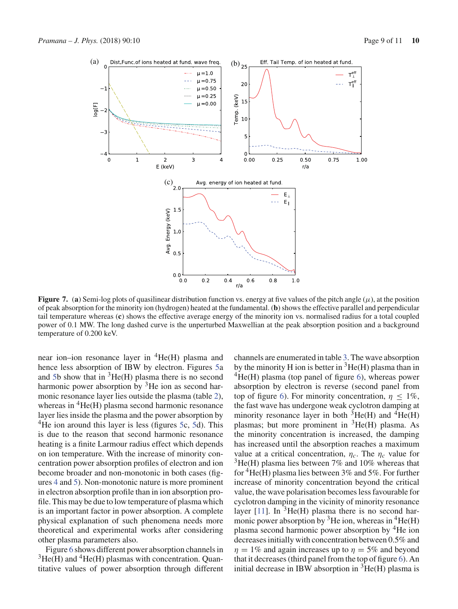

**Figure 7.** (a) Semi-log plots of quasilinear distribution function vs. energy at five values of the pitch angle  $(\mu)$ , at the position of peak absorption for the minority ion (hydrogen) heated at the fundamental. (**b**) shows the effective parallel and perpendicular tail temperature whereas (**c**) shows the effective average energy of the minority ion vs. normalised radius for a total coupled power of 0.1 MW. The long dashed curve is the unperturbed Maxwellian at the peak absorption position and a background temperature of 0.200 keV.

near ion–ion resonance layer in  ${}^{4}He(H)$  plasma and hence less absorption of IBW by electron. Figures 5a and 5b show that in  ${}^{3}He(H)$  plasma there is no second harmonic power absorption by  $3$ He ion as second harmonic resonance layer lies outside the plasma (table 2), whereas in  ${}^{4}$ He(H) plasma second harmonic resonance layer lies inside the plasma and the power absorption by  $4$ He ion around this layer is less (figures 5c, 5d). This is due to the reason that second harmonic resonance heating is a finite Larmour radius effect which depends on ion temperature. With the increase of minority concentration power absorption profiles of electron and ion become broader and non-monotonic in both cases (figures 4 and 5). Non-monotonic nature is more prominent in electron absorption profile than in ion absorption profile. This may be due to low temperature of plasma which is an important factor in power absorption. A complete physical explanation of such phenomena needs more theoretical and experimental works after considering other plasma parameters also.

Figure 6 shows different power absorption channels in  $3He(H)$  and  $4He(H)$  plasmas with concentration. Quantitative values of power absorption through different channels are enumerated in table 3. The wave absorption by the minority H ion is better in  ${}^{3}$ He(H) plasma than in  ${}^{4}$ He(H) plasma (top panel of figure 6), whereas power absorption by electron is reverse (second panel from top of figure 6). For minority concentration,  $\eta \leq 1\%$ , the fast wave has undergone weak cyclotron damping at minority resonance layer in both  ${}^{3}$ He(H) and  ${}^{4}$ He(H) plasmas; but more prominent in  ${}^{3}He(H)$  plasma. As the minority concentration is increased, the damping has increased until the absorption reaches a maximum value at a critical concentration,  $\eta_c$ . The  $\eta_c$  value for  $3\text{He(H)}$  plasma lies between 7% and 10% whereas that for  ${}^4He(H)$  plasma lies between 3% and 5%. For further increase of minority concentration beyond the critical value, the wave polarisation becomes less favourable for cyclotron damping in the vicinity of minority resonance layer [11]. In  ${}^{3}$ He(H) plasma there is no second harmonic power absorption by <sup>3</sup>He ion, whereas in <sup>4</sup>He(H) plasma second harmonic power absorption by 4He ion decreases initially with concentration between 0.5% and  $\eta = 1\%$  and again increases up to  $\eta = 5\%$  and beyond that it decreases (third panel from the top of figure 6). An initial decrease in IBW absorption in  ${}^{3}$ He(H) plasma is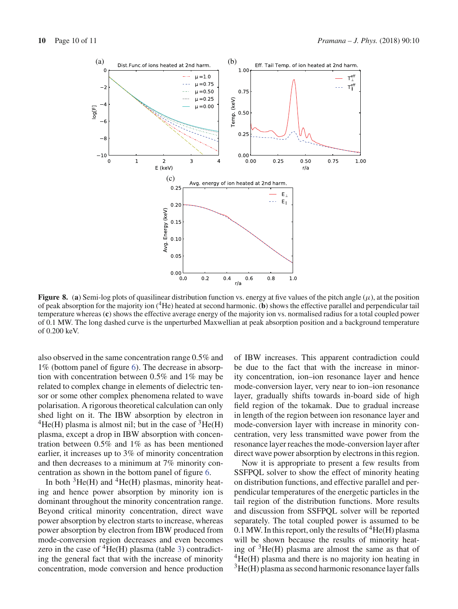

**Figure 8.** (a) Semi-log plots of quasilinear distribution function vs. energy at five values of the pitch angle  $(\mu)$ , at the position of peak absorption for the majority ion (4He) heated at second harmonic. (**b**) shows the effective parallel and perpendicular tail temperature whereas (**c**) shows the effective average energy of the majority ion vs. normalised radius for a total coupled power of 0.1 MW. The long dashed curve is the unperturbed Maxwellian at peak absorption position and a background temperature of 0.200 keV.

also observed in the same concentration range 0.5% and 1% (bottom panel of figure 6). The decrease in absorption with concentration between 0.5% and 1% may be related to complex change in elements of dielectric tensor or some other complex phenomena related to wave polarisation. A rigorous theoretical calculation can only shed light on it. The IBW absorption by electron in  ${}^{4}$ He(H) plasma is almost nil; but in the case of  ${}^{3}$ He(H) plasma, except a drop in IBW absorption with concentration between 0.5% and 1% as has been mentioned earlier, it increases up to 3% of minority concentration and then decreases to a minimum at 7% minority concentration as shown in the bottom panel of figure 6.

In both  ${}^{3}$ He(H) and  ${}^{4}$ He(H) plasmas, minority heating and hence power absorption by minority ion is dominant throughout the minority concentration range. Beyond critical minority concentration, direct wave power absorption by electron starts to increase, whereas power absorption by electron from IBW produced from mode-conversion region decreases and even becomes zero in the case of  ${}^{4}$ He(H) plasma (table 3) contradicting the general fact that with the increase of minority concentration, mode conversion and hence production

of IBW increases. This apparent contradiction could be due to the fact that with the increase in minority concentration, ion–ion resonance layer and hence mode-conversion layer, very near to ion–ion resonance layer, gradually shifts towards in-board side of high field region of the tokamak. Due to gradual increase in length of the region between ion resonance layer and mode-conversion layer with increase in minority concentration, very less transmitted wave power from the resonance layer reaches the mode-conversion layer after direct wave power absorption by electrons in this region.

Now it is appropriate to present a few results from SSFPQL solver to show the effect of minority heating on distribution functions, and effective parallel and perpendicular temperatures of the energetic particles in the tail region of the distribution functions. More results and discussion from SSFPQL solver will be reported separately. The total coupled power is assumed to be 0.1 MW. In this report, only the results of  ${}^{4}$ He(H) plasma will be shown because the results of minority heating of  ${}^{3}$ He(H) plasma are almost the same as that of  ${}^{4}$ He(H) plasma and there is no majority ion heating in  $3$ He(H) plasma as second harmonic resonance layer falls